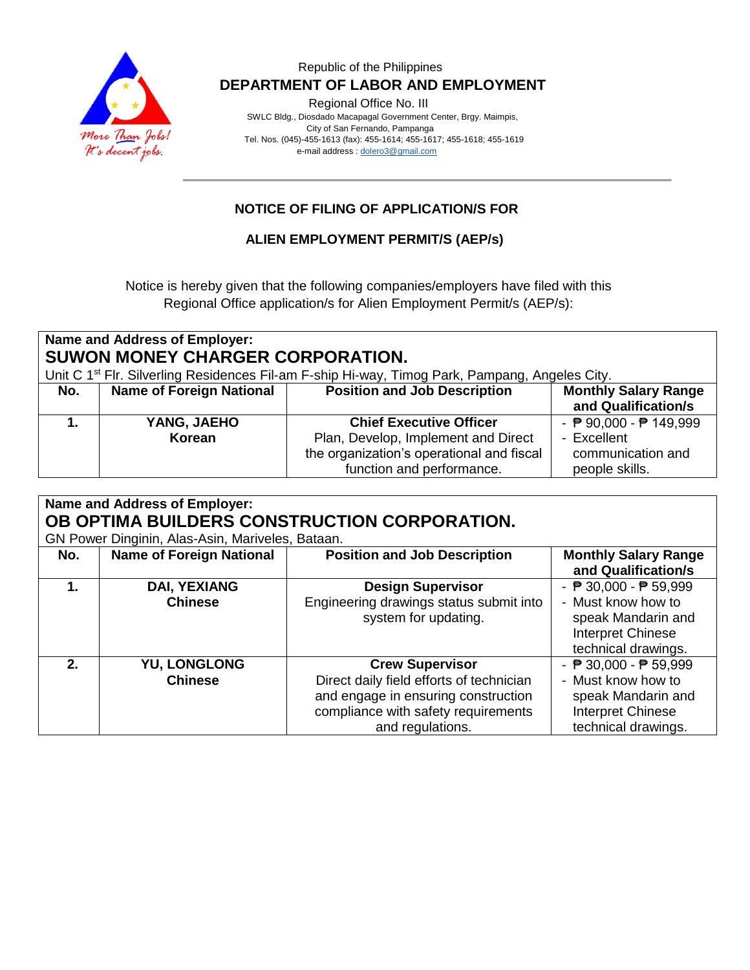

Regional Office No. III

 SWLC Bldg., Diosdado Macapagal Government Center, Brgy. Maimpis, City of San Fernando, Pampanga Tel. Nos. (045)-455-1613 (fax): 455-1614; 455-1617; 455-1618; 455-1619 e-mail address [: dolero3@gmail.com](mailto:dolero3@gmail.com)

# **NOTICE OF FILING OF APPLICATION/S FOR**

#### **ALIEN EMPLOYMENT PERMIT/S (AEP/s)**

Notice is hereby given that the following companies/employers have filed with this Regional Office application/s for Alien Employment Permit/s (AEP/s):

| Name and Address of Employer:<br>SUWON MONEY CHARGER CORPORATION.<br>Unit C 1 <sup>st</sup> Flr. Silverling Residences Fil-am F-ship Hi-way, Timog Park, Pampang, Angeles City. |                                 |                                                                                                               |                                                    |
|---------------------------------------------------------------------------------------------------------------------------------------------------------------------------------|---------------------------------|---------------------------------------------------------------------------------------------------------------|----------------------------------------------------|
| No.                                                                                                                                                                             | <b>Name of Foreign National</b> | <b>Position and Job Description</b>                                                                           | <b>Monthly Salary Range</b><br>and Qualification/s |
|                                                                                                                                                                                 | YANG, JAEHO                     | <b>Chief Executive Officer</b>                                                                                | - $P$ 90,000 - $P$ 149,999                         |
|                                                                                                                                                                                 | Korean                          | Plan, Develop, Implement and Direct<br>the organization's operational and fiscal<br>function and performance. | - Excellent<br>communication and<br>people skills. |

| Name and Address of Employer: |                                                  |                                              |                                                 |  |
|-------------------------------|--------------------------------------------------|----------------------------------------------|-------------------------------------------------|--|
|                               |                                                  | OB OPTIMA BUILDERS CONSTRUCTION CORPORATION. |                                                 |  |
|                               | GN Power Dinginin, Alas-Asin, Mariveles, Bataan. |                                              |                                                 |  |
| No.                           | <b>Name of Foreign National</b>                  | <b>Position and Job Description</b>          | <b>Monthly Salary Range</b>                     |  |
|                               |                                                  |                                              | and Qualification/s                             |  |
| 1.                            | <b>DAI, YEXIANG</b>                              | <b>Design Supervisor</b>                     | - $\overline{P}$ 30,000 - $\overline{P}$ 59,999 |  |
|                               | <b>Chinese</b>                                   | Engineering drawings status submit into      | - Must know how to                              |  |
|                               |                                                  | system for updating.                         | speak Mandarin and                              |  |
|                               |                                                  |                                              | Interpret Chinese                               |  |
|                               |                                                  |                                              | technical drawings.                             |  |
| 2.                            | <b>YU, LONGLONG</b>                              | <b>Crew Supervisor</b>                       | - $\overline{P}$ 30,000 - $\overline{P}$ 59,999 |  |
|                               | <b>Chinese</b>                                   | Direct daily field efforts of technician     | - Must know how to                              |  |
|                               |                                                  | and engage in ensuring construction          | speak Mandarin and                              |  |
|                               |                                                  | compliance with safety requirements          | Interpret Chinese                               |  |
|                               |                                                  | and regulations.                             | technical drawings.                             |  |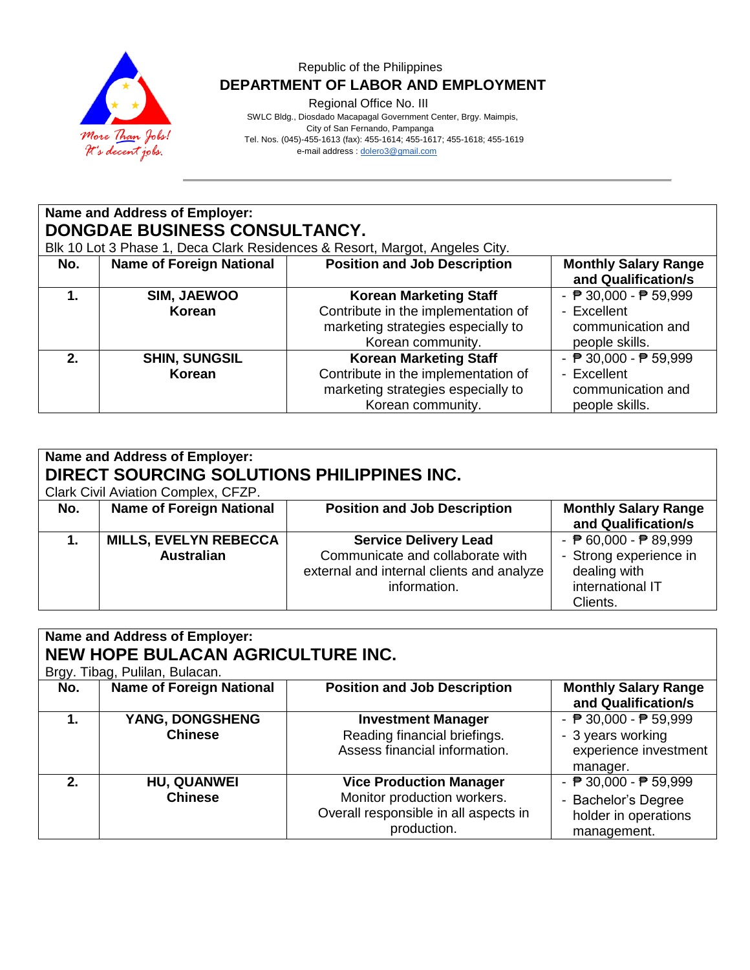

Regional Office No. III

|     | Name and Address of Employer:<br>DONGDAE BUSINESS CONSULTANCY. |                                                                                                                                 |                                                                                                       |  |  |  |
|-----|----------------------------------------------------------------|---------------------------------------------------------------------------------------------------------------------------------|-------------------------------------------------------------------------------------------------------|--|--|--|
|     |                                                                | Blk 10 Lot 3 Phase 1, Deca Clark Residences & Resort, Margot, Angeles City.                                                     |                                                                                                       |  |  |  |
| No. | <b>Name of Foreign National</b>                                | <b>Position and Job Description</b>                                                                                             | <b>Monthly Salary Range</b><br>and Qualification/s                                                    |  |  |  |
| 1.  | SIM, JAEWOO<br>Korean                                          | <b>Korean Marketing Staff</b><br>Contribute in the implementation of<br>marketing strategies especially to<br>Korean community. | - $\overline{P}$ 30,000 - $\overline{P}$ 59,999<br>- Excellent<br>communication and<br>people skills. |  |  |  |
| 2.  | <b>SHIN, SUNGSIL</b><br><b>Korean</b>                          | <b>Korean Marketing Staff</b><br>Contribute in the implementation of<br>marketing strategies especially to<br>Korean community. | - $\sqrt{P}$ 30,000 - $\sqrt{P}$ 59,999<br>- Excellent<br>communication and<br>people skills.         |  |  |  |

| Name and Address of Employer:<br>DIRECT SOURCING SOLUTIONS PHILIPPINES INC.<br>Clark Civil Aviation Complex, CFZP. |                                 |                                           |                                                    |
|--------------------------------------------------------------------------------------------------------------------|---------------------------------|-------------------------------------------|----------------------------------------------------|
| No.                                                                                                                | <b>Name of Foreign National</b> | <b>Position and Job Description</b>       | <b>Monthly Salary Range</b><br>and Qualification/s |
|                                                                                                                    | <b>MILLS, EVELYN REBECCA</b>    | <b>Service Delivery Lead</b>              | - $\overline{P}$ 60,000 - $\overline{P}$ 89,999    |
|                                                                                                                    | <b>Australian</b>               | Communicate and collaborate with          | - Strong experience in                             |
|                                                                                                                    |                                 | external and internal clients and analyze | dealing with                                       |
|                                                                                                                    |                                 | information.                              | international IT                                   |
|                                                                                                                    |                                 |                                           |                                                    |
|                                                                                                                    |                                 |                                           | Clients.                                           |

| <b>Name and Address of Employer:</b><br><b>NEW HOPE BULACAN AGRICULTURE INC.</b><br>Brgy. Tibag, Pulilan, Bulacan. |                                      |                                                                                                                       |                                                                                                               |
|--------------------------------------------------------------------------------------------------------------------|--------------------------------------|-----------------------------------------------------------------------------------------------------------------------|---------------------------------------------------------------------------------------------------------------|
| No.                                                                                                                | <b>Name of Foreign National</b>      | <b>Position and Job Description</b>                                                                                   | <b>Monthly Salary Range</b><br>and Qualification/s                                                            |
| 1.                                                                                                                 | YANG, DONGSHENG<br><b>Chinese</b>    | <b>Investment Manager</b><br>Reading financial briefings.<br>Assess financial information.                            | - $\overline{P}$ 30,000 - $\overline{P}$ 59,999<br>- 3 years working<br>experience investment<br>manager.     |
| 2 <sub>1</sub>                                                                                                     | <b>HU, QUANWEI</b><br><b>Chinese</b> | <b>Vice Production Manager</b><br>Monitor production workers.<br>Overall responsible in all aspects in<br>production. | - $\overline{P}$ 30,000 - $\overline{P}$ 59,999<br>- Bachelor's Degree<br>holder in operations<br>management. |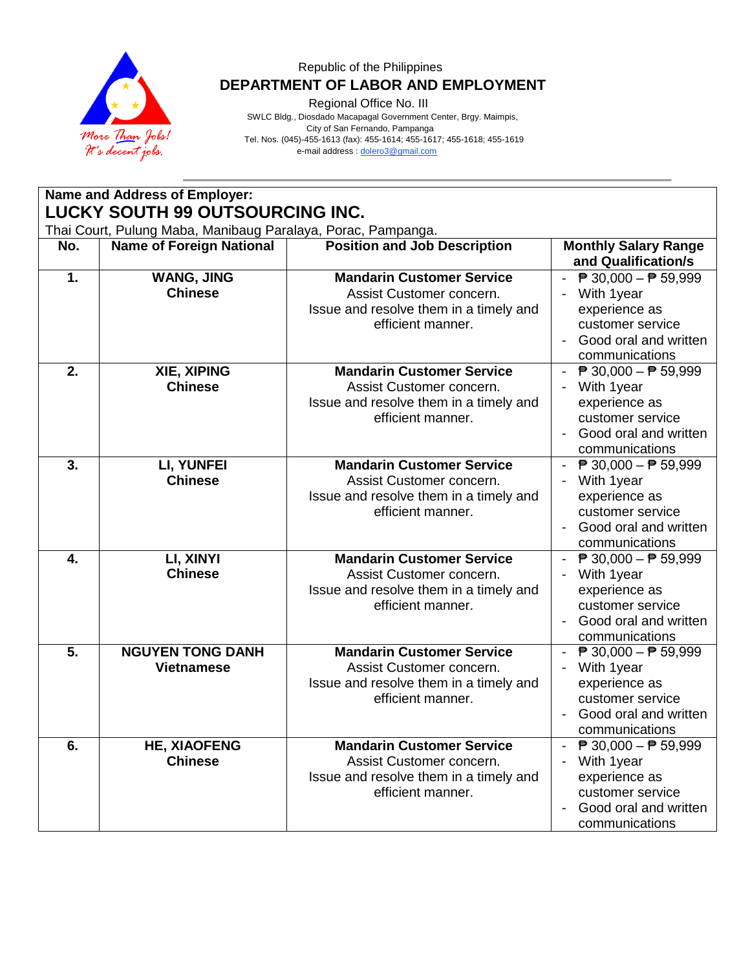

Regional Office No. III

 SWLC Bldg., Diosdado Macapagal Government Center, Brgy. Maimpis, City of San Fernando, Pampanga Tel. Nos. (045)-455-1613 (fax): 455-1614; 455-1617; 455-1618; 455-1619 e-mail address [: dolero3@gmail.com](mailto:dolero3@gmail.com)

**Name and Address of Employer: LUCKY SOUTH 99 OUTSOURCING INC.** Thai Court, Pulung Maba, Manibaug Paralaya, Porac, Pampanga.<br> **No.** | Name of Foreign National | Position and Job | **No. Name of Foreign National <b>Position and Job Description Monthly Salary Range and Qualification/s 1. WANG, JING Chinese Mandarin Customer Service** Assist Customer concern. Issue and resolve them in a timely and efficient manner.  $\overline{P}$  30,000  $-\overline{P}$  59,999 - With 1year experience as customer service - Good oral and written communications **2. XIE, XIPING Chinese Mandarin Customer Service** Assist Customer concern. Issue and resolve them in a timely and efficient manner.  $\overline{P}$  30,000  $\overline{P}$  59,999 - With 1year experience as customer service - Good oral and written communications **3. LI, YUNFEI Chinese Mandarin Customer Service** Assist Customer concern. Issue and resolve them in a timely and efficient manner.  $\overline{P}$  30,000 –  $\overline{P}$  59,999 - With 1year experience as customer service - Good oral and written communications **4. LI, XINYI Chinese Mandarin Customer Service** Assist Customer concern. Issue and resolve them in a timely and efficient manner.  $\overline{P}$  30,000  $\overline{P}$  59,999 - With 1year experience as customer service - Good oral and written communications **5. NGUYEN TONG DANH Vietnamese Mandarin Customer Service** Assist Customer concern. Issue and resolve them in a timely and efficient manner.  $\overline{P}$  30,000  $\overline{P}$  59,999 - With 1year experience as customer service - Good oral and written communications **6. HE, XIAOFENG Chinese Mandarin Customer Service** Assist Customer concern. Issue and resolve them in a timely and efficient manner.  $\overline{P}$  30,000  $\overline{P}$  59,999 - With 1year experience as customer service - Good oral and written communications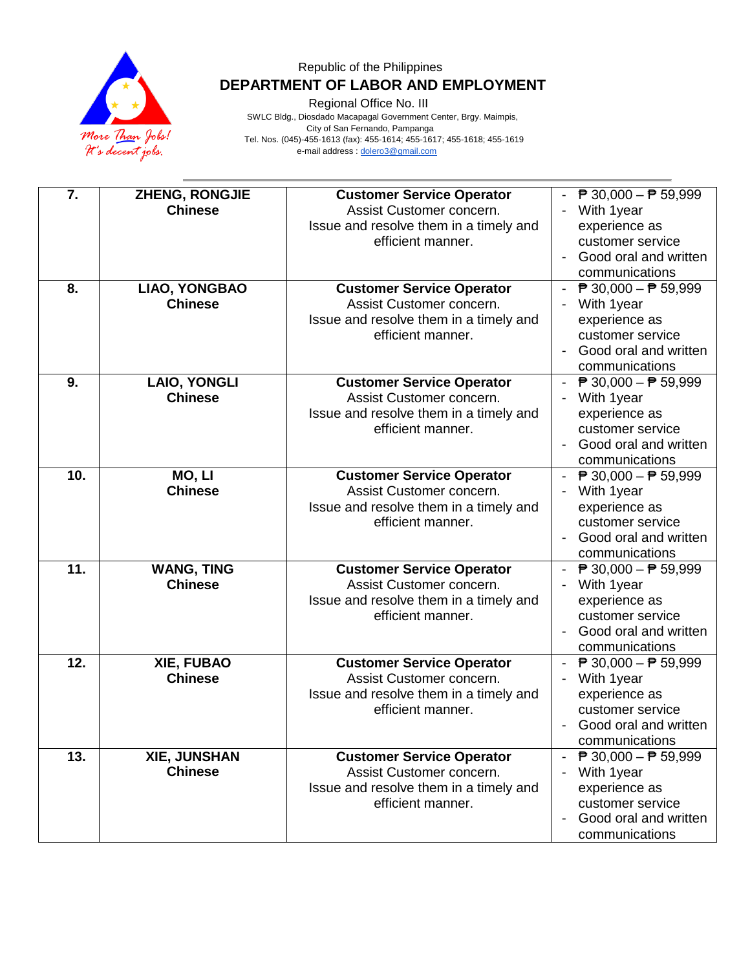

Regional Office No. III

| 7.  | ZHENG, RONGJIE<br><b>Chinese</b>      | <b>Customer Service Operator</b><br>Assist Customer concern.<br>Issue and resolve them in a timely and<br>efficient manner. | $\overline{P}$ 30,000 - $\overline{P}$ 59,999<br>With 1year<br>experience as<br>customer service<br>Good oral and written<br>$\blacksquare$<br>communications |
|-----|---------------------------------------|-----------------------------------------------------------------------------------------------------------------------------|---------------------------------------------------------------------------------------------------------------------------------------------------------------|
| 8.  | LIAO, YONGBAO<br><b>Chinese</b>       | <b>Customer Service Operator</b><br>Assist Customer concern.<br>Issue and resolve them in a timely and<br>efficient manner. | ₱ 30,000 – ₱ 59,999<br>With 1year<br>experience as<br>customer service<br>Good oral and written<br>$\blacksquare$<br>communications                           |
| 9.  | <b>LAIO, YONGLI</b><br><b>Chinese</b> | <b>Customer Service Operator</b><br>Assist Customer concern.<br>Issue and resolve them in a timely and<br>efficient manner. | $\overline{P}$ 30,000 – $\overline{P}$ 59,999<br>$\blacksquare$<br>With 1year<br>experience as<br>customer service<br>Good oral and written<br>communications |
| 10. | MO, LI<br><b>Chinese</b>              | <b>Customer Service Operator</b><br>Assist Customer concern.<br>Issue and resolve them in a timely and<br>efficient manner. | $\overline{P}$ 30,000 − $\overline{P}$ 59,999<br>$\sim$<br>With 1year<br>experience as<br>customer service<br>Good oral and written<br>communications         |
| 11. | <b>WANG, TING</b><br><b>Chinese</b>   | <b>Customer Service Operator</b><br>Assist Customer concern.<br>Issue and resolve them in a timely and<br>efficient manner. | $\overline{P}$ 30,000 − $\overline{P}$ 59,999<br>With 1year<br>experience as<br>customer service<br>Good oral and written<br>$\blacksquare$<br>communications |
| 12. | XIE, FUBAO<br><b>Chinese</b>          | <b>Customer Service Operator</b><br>Assist Customer concern.<br>Issue and resolve them in a timely and<br>efficient manner. | - $\overline{P}$ 30,000 - $\overline{P}$ 59,999<br>With 1year<br>experience as<br>customer service<br>Good oral and written<br>communications                 |
| 13. | XIE, JUNSHAN<br><b>Chinese</b>        | <b>Customer Service Operator</b><br>Assist Customer concern.<br>Issue and resolve them in a timely and<br>efficient manner. | ₱ 30,000 - ₱ 59,999<br>With 1year<br>experience as<br>customer service<br>Good oral and written<br>communications                                             |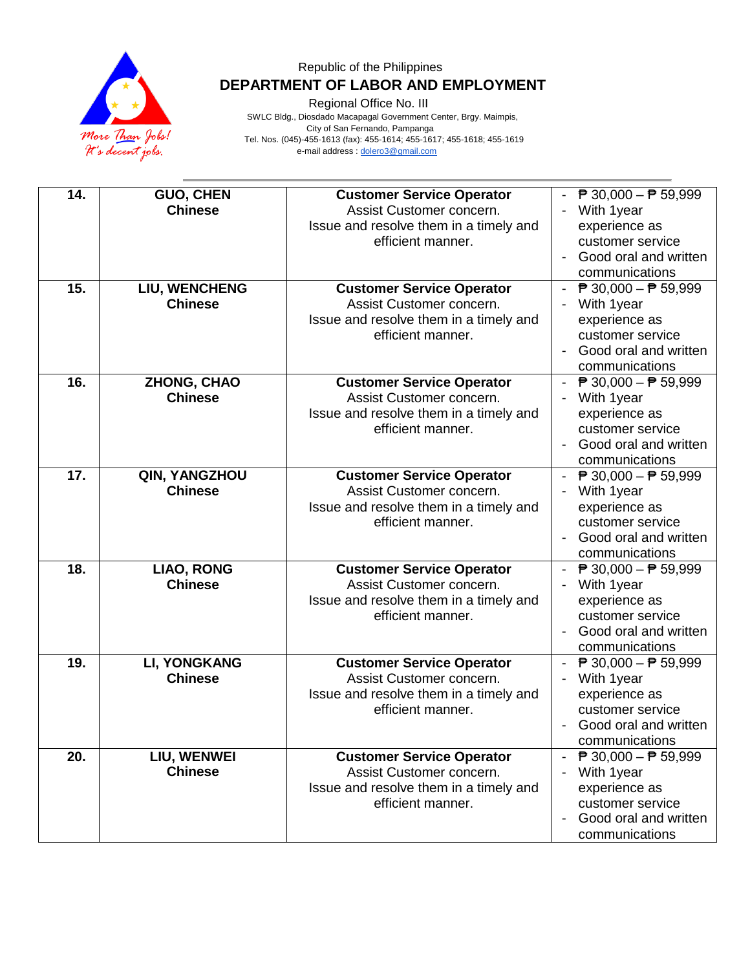

Regional Office No. III

| 14. | <b>GUO, CHEN</b><br><b>Chinese</b>    | <b>Customer Service Operator</b><br>Assist Customer concern.<br>Issue and resolve them in a timely and<br>efficient manner. | $\overline{P}$ 30,000 - $\overline{P}$ 59,999<br>With 1year<br>experience as<br>customer service<br>Good oral and written<br>$\blacksquare$<br>communications |
|-----|---------------------------------------|-----------------------------------------------------------------------------------------------------------------------------|---------------------------------------------------------------------------------------------------------------------------------------------------------------|
| 15. | LIU, WENCHENG<br><b>Chinese</b>       | <b>Customer Service Operator</b><br>Assist Customer concern.<br>Issue and resolve them in a timely and<br>efficient manner. | $\overline{P}$ 30,000 − $\overline{P}$ 59,999<br>With 1year<br>experience as<br>customer service<br>Good oral and written<br>communications                   |
| 16. | ZHONG, CHAO<br><b>Chinese</b>         | <b>Customer Service Operator</b><br>Assist Customer concern.<br>Issue and resolve them in a timely and<br>efficient manner. | $\overline{P}$ 30,000 - $\overline{P}$ 59,999<br>$\sim$<br>With 1year<br>experience as<br>customer service<br>Good oral and written<br>communications         |
| 17. | QIN, YANGZHOU<br><b>Chinese</b>       | <b>Customer Service Operator</b><br>Assist Customer concern.<br>Issue and resolve them in a timely and<br>efficient manner. | $\overline{P}$ 30,000 − $\overline{P}$ 59,999<br>$\sim$<br>With 1year<br>experience as<br>customer service<br>Good oral and written<br>communications         |
| 18. | <b>LIAO, RONG</b><br><b>Chinese</b>   | <b>Customer Service Operator</b><br>Assist Customer concern.<br>Issue and resolve them in a timely and<br>efficient manner. | $\overline{P}$ 30,000 − $\overline{P}$ 59,999<br>With 1year<br>experience as<br>customer service<br>Good oral and written<br>communications                   |
| 19. | <b>LI, YONGKANG</b><br><b>Chinese</b> | <b>Customer Service Operator</b><br>Assist Customer concern.<br>Issue and resolve them in a timely and<br>efficient manner. | - $\overline{P}$ 30,000 - $\overline{P}$ 59,999<br>With 1year<br>experience as<br>customer service<br>Good oral and written<br>communications                 |
| 20. | LIU, WENWEI<br><b>Chinese</b>         | <b>Customer Service Operator</b><br>Assist Customer concern.<br>Issue and resolve them in a timely and<br>efficient manner. | $\overline{P}$ 30,000 - $\overline{P}$ 59,999<br>With 1year<br>experience as<br>customer service<br>Good oral and written<br>communications                   |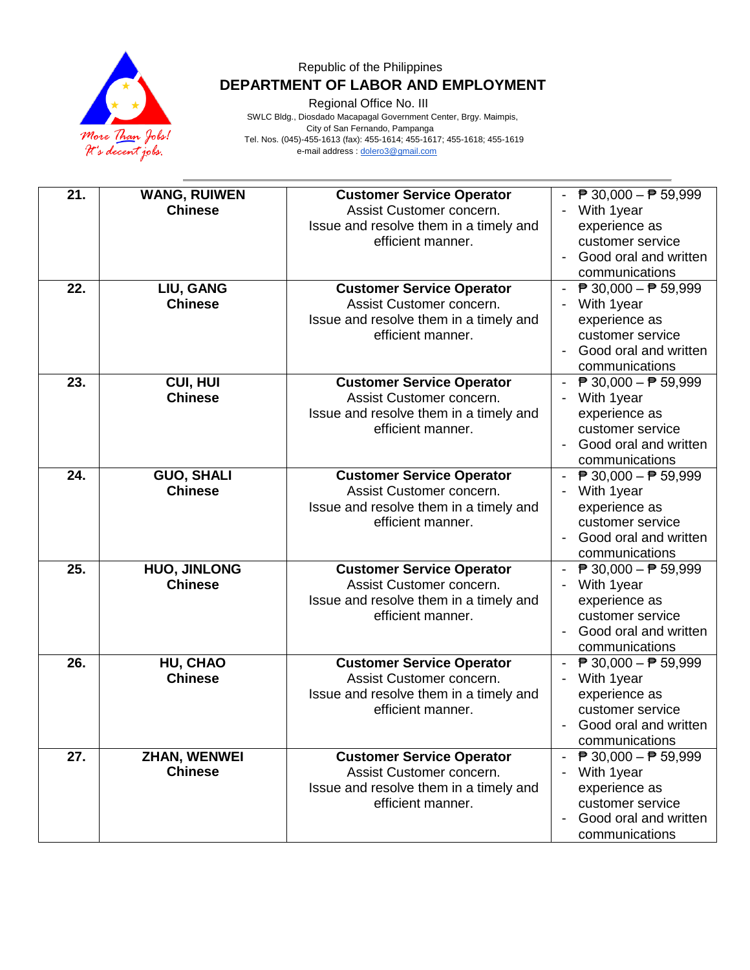

Regional Office No. III

| 21. | <b>WANG, RUIWEN</b><br><b>Chinese</b> | <b>Customer Service Operator</b><br>Assist Customer concern.<br>Issue and resolve them in a timely and<br>efficient manner. | $\overline{P}$ 30,000 - $\overline{P}$ 59,999<br>With 1year<br>experience as<br>customer service<br>Good oral and written<br>communications                        |
|-----|---------------------------------------|-----------------------------------------------------------------------------------------------------------------------------|--------------------------------------------------------------------------------------------------------------------------------------------------------------------|
| 22. | LIU, GANG<br><b>Chinese</b>           | <b>Customer Service Operator</b><br>Assist Customer concern.<br>Issue and resolve them in a timely and<br>efficient manner. | ₱ 30,000 – ₱ 59,999<br>With 1year<br>experience as<br>customer service<br>Good oral and written<br>communications                                                  |
| 23. | <b>CUI, HUI</b><br><b>Chinese</b>     | <b>Customer Service Operator</b><br>Assist Customer concern.<br>Issue and resolve them in a timely and<br>efficient manner. | $\overline{P}$ 30,000 – $\overline{P}$ 59,999<br>$\omega_{\rm{eff}}$<br>With 1year<br>experience as<br>customer service<br>Good oral and written<br>communications |
| 24. | <b>GUO, SHALI</b><br><b>Chinese</b>   | <b>Customer Service Operator</b><br>Assist Customer concern.<br>Issue and resolve them in a timely and<br>efficient manner. | ₱ 30,000 – ₱ 59,999<br>With 1year<br>experience as<br>customer service<br>Good oral and written<br>communications                                                  |
| 25. | <b>HUO, JINLONG</b><br><b>Chinese</b> | <b>Customer Service Operator</b><br>Assist Customer concern.<br>Issue and resolve them in a timely and<br>efficient manner. | $\overline{P}$ 30,000 − $\overline{P}$ 59,999<br>With 1year<br>experience as<br>customer service<br>Good oral and written<br>communications                        |
| 26. | HU, CHAO<br><b>Chinese</b>            | <b>Customer Service Operator</b><br>Assist Customer concern.<br>Issue and resolve them in a timely and<br>efficient manner. | ₱ 30,000 – ₱ 59,999<br>With 1year<br>experience as<br>customer service<br>Good oral and written<br>communications                                                  |
| 27. | <b>ZHAN, WENWEI</b><br><b>Chinese</b> | <b>Customer Service Operator</b><br>Assist Customer concern.<br>Issue and resolve them in a timely and<br>efficient manner. | $\overline{P}$ 30,000 – $\overline{P}$ 59,999<br>With 1year<br>experience as<br>customer service<br>Good oral and written<br>communications                        |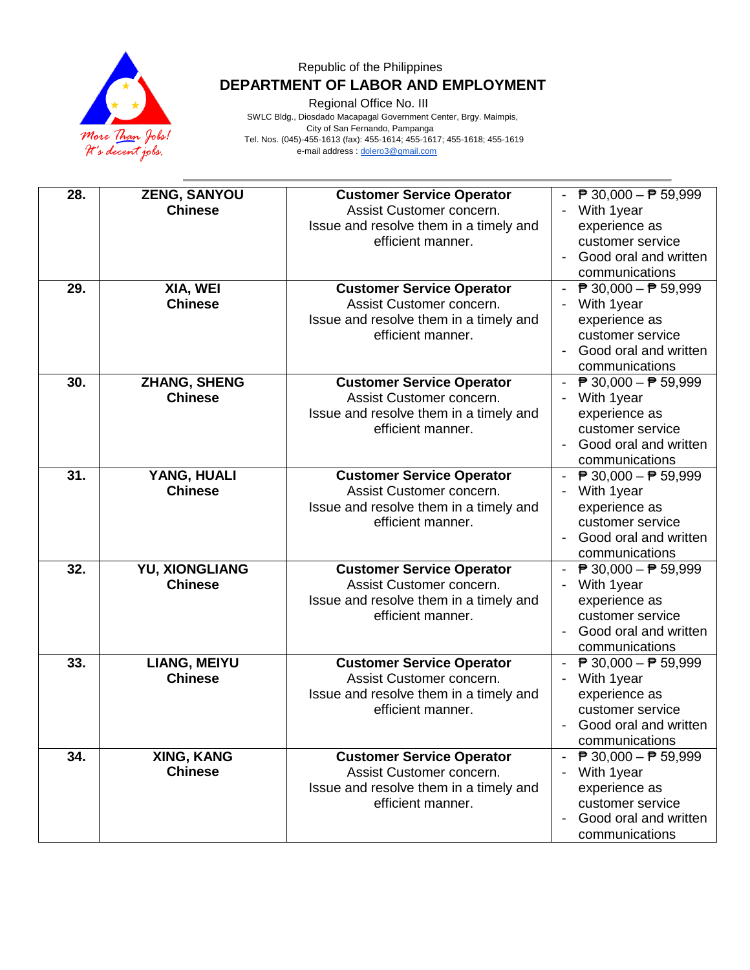

Regional Office No. III

| 28.<br>29. | ZENG, SANYOU<br><b>Chinese</b><br>XIA, WEI | <b>Customer Service Operator</b><br>Assist Customer concern.<br>Issue and resolve them in a timely and<br>efficient manner.<br><b>Customer Service Operator</b> | $\overline{P}$ 30,000 - $\overline{P}$ 59,999<br>With 1year<br>experience as<br>customer service<br>Good oral and written<br>communications<br>- $\overline{P}$ 30,000 - $\overline{P}$ 59,999 |
|------------|--------------------------------------------|-----------------------------------------------------------------------------------------------------------------------------------------------------------------|------------------------------------------------------------------------------------------------------------------------------------------------------------------------------------------------|
|            | <b>Chinese</b>                             | Assist Customer concern.<br>Issue and resolve them in a timely and<br>efficient manner.                                                                         | With 1year<br>experience as<br>customer service<br>Good oral and written<br>communications                                                                                                     |
| 30.        | ZHANG, SHENG<br><b>Chinese</b>             | <b>Customer Service Operator</b><br>Assist Customer concern.<br>Issue and resolve them in a timely and<br>efficient manner.                                     | $\overline{P}$ 30,000 – $\overline{P}$ 59,999<br>$\sim$<br>With 1year<br>experience as<br>customer service<br>Good oral and written<br>communications                                          |
| 31.        | YANG, HUALI<br><b>Chinese</b>              | <b>Customer Service Operator</b><br>Assist Customer concern.<br>Issue and resolve them in a timely and<br>efficient manner.                                     | - $\overline{P}$ 30,000 - $\overline{P}$ 59,999<br>With 1year<br>experience as<br>customer service<br>Good oral and written<br>communications                                                  |
| 32.        | YU, XIONGLIANG<br><b>Chinese</b>           | <b>Customer Service Operator</b><br>Assist Customer concern.<br>Issue and resolve them in a timely and<br>efficient manner.                                     | $\overline{P}$ 30,000 − $\overline{P}$ 59,999<br>With 1year<br>experience as<br>customer service<br>Good oral and written<br>communications                                                    |
| 33.        | <b>LIANG, MEIYU</b><br><b>Chinese</b>      | <b>Customer Service Operator</b><br>Assist Customer concern.<br>Issue and resolve them in a timely and<br>efficient manner.                                     | - $\overline{P}$ 30,000 - $\overline{P}$ 59,999<br>With 1year<br>experience as<br>customer service<br>Good oral and written<br>communications                                                  |
| 34.        | XING, KANG<br><b>Chinese</b>               | <b>Customer Service Operator</b><br>Assist Customer concern.<br>Issue and resolve them in a timely and<br>efficient manner.                                     | ₱ 30,000 - ₱ 59,999<br>$\sim$<br>With 1year<br>experience as<br>customer service<br>Good oral and written<br>communications                                                                    |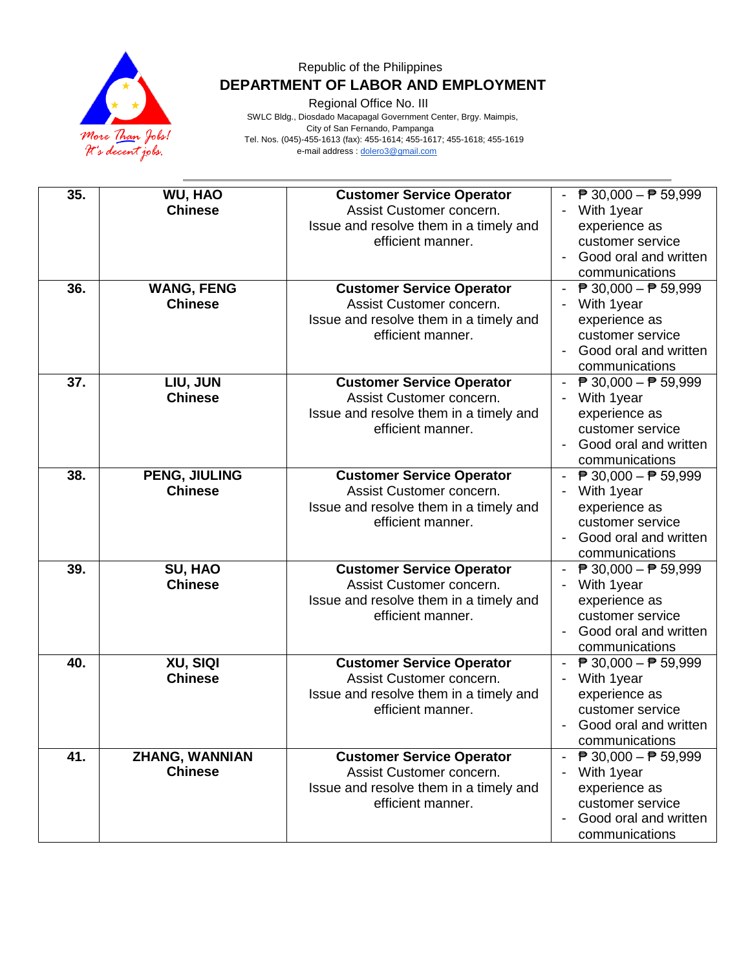

Regional Office No. III

| 35. | WU, HAO<br><b>Chinese</b>               | <b>Customer Service Operator</b><br>Assist Customer concern.<br>Issue and resolve them in a timely and<br>efficient manner. | ₱ 30,000 - ₱ 59,999<br>With 1year<br>experience as<br>customer service<br>Good oral and written<br>communications                                                          |
|-----|-----------------------------------------|-----------------------------------------------------------------------------------------------------------------------------|----------------------------------------------------------------------------------------------------------------------------------------------------------------------------|
| 36. | <b>WANG, FENG</b><br><b>Chinese</b>     | <b>Customer Service Operator</b><br>Assist Customer concern.<br>Issue and resolve them in a timely and<br>efficient manner. | ₱ 30,000 – ₱ 59,999<br>With 1year<br>experience as<br>customer service<br>Good oral and written<br>$\blacksquare$<br>communications                                        |
| 37. | LIU, JUN<br><b>Chinese</b>              | <b>Customer Service Operator</b><br>Assist Customer concern.<br>Issue and resolve them in a timely and<br>efficient manner. | $\overline{P}$ 30,000 − $\overline{P}$ 59,999<br>$\sim$<br>With 1year<br>experience as<br>customer service<br>Good oral and written<br>communications                      |
| 38. | PENG, JIULING<br><b>Chinese</b>         | <b>Customer Service Operator</b><br>Assist Customer concern.<br>Issue and resolve them in a timely and<br>efficient manner. | $\overline{P}$ 30,000 − $\overline{P}$ 59,999<br>With 1year<br>experience as<br>customer service<br>Good oral and written<br>communications                                |
| 39. | SU, HAO<br><b>Chinese</b>               | <b>Customer Service Operator</b><br>Assist Customer concern.<br>Issue and resolve them in a timely and<br>efficient manner. | $\overline{P}$ 30,000 - $\overline{P}$ 59,999<br>With 1year<br>experience as<br>customer service<br>Good oral and written<br>communications                                |
| 40. | XU, SIQI<br><b>Chinese</b>              | <b>Customer Service Operator</b><br>Assist Customer concern.<br>Issue and resolve them in a timely and<br>efficient manner. | ₱ 30,000 – ₱ 59,999<br>With 1year<br>experience as<br>customer service<br>Good oral and written<br>communications                                                          |
| 41. | <b>ZHANG, WANNIAN</b><br><b>Chinese</b> | <b>Customer Service Operator</b><br>Assist Customer concern.<br>Issue and resolve them in a timely and<br>efficient manner. | $\overline{P}$ 30,000 – $\overline{P}$ 59,999<br>$\mathcal{L}_{\mathcal{A}}$<br>With 1year<br>experience as<br>customer service<br>Good oral and written<br>communications |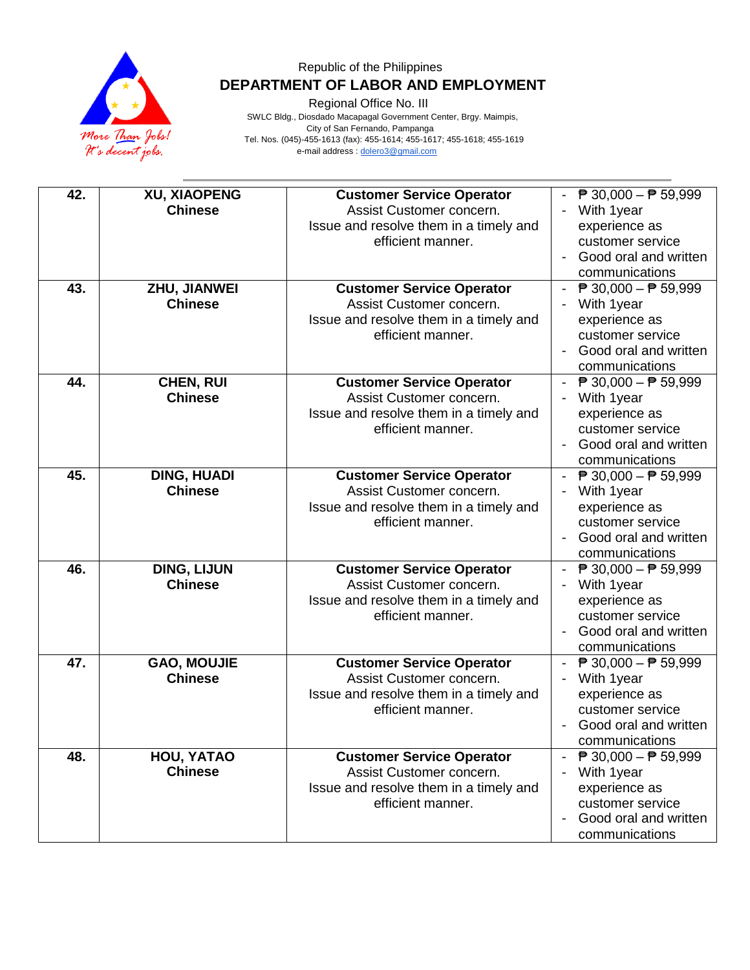

Regional Office No. III

| 42.<br>43. | <b>XU, XIAOPENG</b><br><b>Chinese</b><br>ZHU, JIANWEI | <b>Customer Service Operator</b><br>Assist Customer concern.<br>Issue and resolve them in a timely and<br>efficient manner.<br><b>Customer Service Operator</b> | $\overline{P}$ 30,000 - $\overline{P}$ 59,999<br>With 1year<br>experience as<br>customer service<br>Good oral and written<br>communications<br>- $\overline{P}$ 30,000 - $\overline{P}$ 59,999 |
|------------|-------------------------------------------------------|-----------------------------------------------------------------------------------------------------------------------------------------------------------------|------------------------------------------------------------------------------------------------------------------------------------------------------------------------------------------------|
|            | <b>Chinese</b>                                        | Assist Customer concern.<br>Issue and resolve them in a timely and<br>efficient manner.                                                                         | With 1year<br>experience as<br>customer service<br>Good oral and written<br>communications                                                                                                     |
| 44.        | CHEN, RUI<br><b>Chinese</b>                           | <b>Customer Service Operator</b><br>Assist Customer concern.<br>Issue and resolve them in a timely and<br>efficient manner.                                     | $\overline{P}$ 30,000 – $\overline{P}$ 59,999<br>$\omega_{\rm{eff}}$<br>With 1year<br>experience as<br>customer service<br>Good oral and written<br>communications                             |
| 45.        | <b>DING, HUADI</b><br><b>Chinese</b>                  | <b>Customer Service Operator</b><br>Assist Customer concern.<br>Issue and resolve them in a timely and<br>efficient manner.                                     | - $\overline{P}$ 30,000 - $\overline{P}$ 59,999<br>With 1year<br>experience as<br>customer service<br>Good oral and written<br>communications                                                  |
| 46.        | <b>DING, LIJUN</b><br><b>Chinese</b>                  | <b>Customer Service Operator</b><br>Assist Customer concern.<br>Issue and resolve them in a timely and<br>efficient manner.                                     | $\overline{P}$ 30,000 − $\overline{P}$ 59,999<br>With 1year<br>experience as<br>customer service<br>Good oral and written<br>communications                                                    |
| 47.        | <b>GAO, MOUJIE</b><br><b>Chinese</b>                  | <b>Customer Service Operator</b><br>Assist Customer concern.<br>Issue and resolve them in a timely and<br>efficient manner.                                     | - $\overline{P}$ 30,000 - $\overline{P}$ 59,999<br>With 1year<br>experience as<br>customer service<br>Good oral and written<br>communications                                                  |
| 48.        | HOU, YATAO<br><b>Chinese</b>                          | <b>Customer Service Operator</b><br>Assist Customer concern.<br>Issue and resolve them in a timely and<br>efficient manner.                                     | $\overline{P}$ 30,000 – $\overline{P}$ 59,999<br>$\sim$<br>With 1year<br>experience as<br>customer service<br>Good oral and written<br>communications                                          |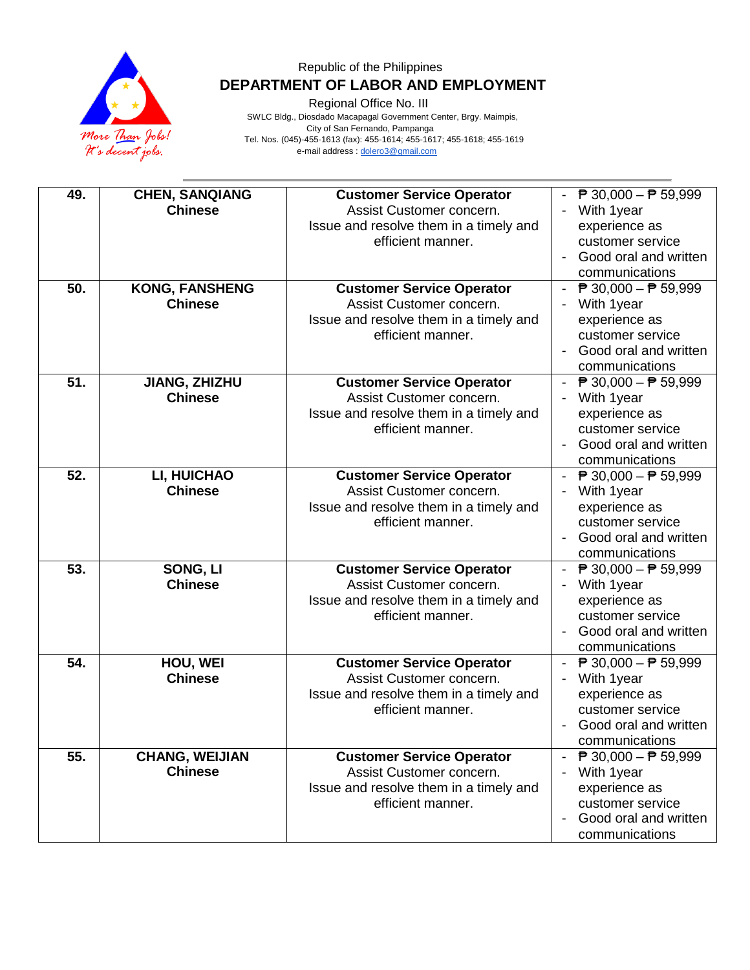

Regional Office No. III

| 49.<br>50. | <b>CHEN, SANQIANG</b><br><b>Chinese</b><br><b>KONG, FANSHENG</b> | <b>Customer Service Operator</b><br>Assist Customer concern.<br>Issue and resolve them in a timely and<br>efficient manner.<br><b>Customer Service Operator</b> | $\overline{P}$ 30,000 - $\overline{P}$ 59,999<br>With 1year<br>experience as<br>customer service<br>Good oral and written<br>communications<br>- $\overline{P}$ 30,000 - $\overline{P}$ 59,999 |
|------------|------------------------------------------------------------------|-----------------------------------------------------------------------------------------------------------------------------------------------------------------|------------------------------------------------------------------------------------------------------------------------------------------------------------------------------------------------|
|            | <b>Chinese</b>                                                   | Assist Customer concern.<br>Issue and resolve them in a timely and<br>efficient manner.                                                                         | With 1year<br>experience as<br>customer service<br>Good oral and written<br>communications                                                                                                     |
| 51.        | JIANG, ZHIZHU<br><b>Chinese</b>                                  | <b>Customer Service Operator</b><br>Assist Customer concern.<br>Issue and resolve them in a timely and<br>efficient manner.                                     | $\overline{P}$ 30,000 – $\overline{P}$ 59,999<br>$\sim$<br>With 1year<br>experience as<br>customer service<br>Good oral and written<br>communications                                          |
| 52.        | LI, HUICHAO<br><b>Chinese</b>                                    | <b>Customer Service Operator</b><br>Assist Customer concern.<br>Issue and resolve them in a timely and<br>efficient manner.                                     | - $\overline{P}$ 30,000 - $\overline{P}$ 59,999<br>With 1year<br>experience as<br>customer service<br>Good oral and written<br>communications                                                  |
| 53.        | SONG, LI<br><b>Chinese</b>                                       | <b>Customer Service Operator</b><br>Assist Customer concern.<br>Issue and resolve them in a timely and<br>efficient manner.                                     | $\overline{P}$ 30,000 − $\overline{P}$ 59,999<br>With 1year<br>experience as<br>customer service<br>Good oral and written<br>communications                                                    |
| 54.        | HOU, WEI<br><b>Chinese</b>                                       | <b>Customer Service Operator</b><br>Assist Customer concern.<br>Issue and resolve them in a timely and<br>efficient manner.                                     | - $\overline{P}$ 30,000 - $\overline{P}$ 59,999<br>With 1year<br>experience as<br>customer service<br>Good oral and written<br>communications                                                  |
| 55.        | <b>CHANG, WEIJIAN</b><br><b>Chinese</b>                          | <b>Customer Service Operator</b><br>Assist Customer concern.<br>Issue and resolve them in a timely and<br>efficient manner.                                     | ₱ 30,000 - ₱ 59,999<br>$\sim$<br>With 1year<br>experience as<br>customer service<br>Good oral and written<br>communications                                                                    |